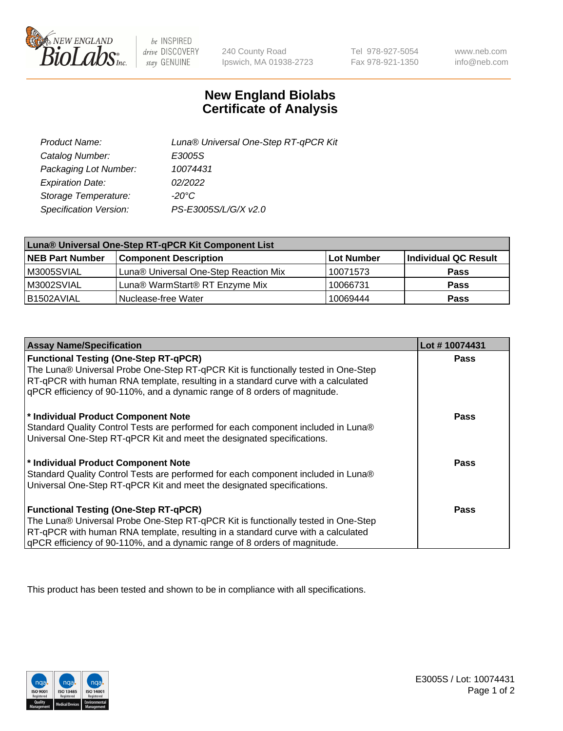

 $be$  INSPIRED drive DISCOVERY stay GENUINE

240 County Road Ipswich, MA 01938-2723

Tel 978-927-5054 Fax 978-921-1350 www.neb.com info@neb.com

## **New England Biolabs Certificate of Analysis**

| Product Name:           | Luna® Universal One-Step RT-qPCR Kit |
|-------------------------|--------------------------------------|
| Catalog Number:         | E3005S                               |
| Packaging Lot Number:   | 10074431                             |
| <b>Expiration Date:</b> | 02/2022                              |
| Storage Temperature:    | $-20^{\circ}$ C                      |
| Specification Version:  | PS-E3005S/L/G/X v2.0                 |

| Luna® Universal One-Step RT-qPCR Kit Component List |                                       |            |                      |  |
|-----------------------------------------------------|---------------------------------------|------------|----------------------|--|
| <b>NEB Part Number</b>                              | <b>Component Description</b>          | Lot Number | Individual QC Result |  |
| M3005SVIAL                                          | Luna® Universal One-Step Reaction Mix | 10071573   | <b>Pass</b>          |  |
| M3002SVIAL                                          | Luna® WarmStart® RT Enzyme Mix        | 10066731   | <b>Pass</b>          |  |
| B1502AVIAL                                          | Nuclease-free Water                   | 10069444   | <b>Pass</b>          |  |

| <b>Assay Name/Specification</b>                                                   | Lot #10074431 |
|-----------------------------------------------------------------------------------|---------------|
| <b>Functional Testing (One-Step RT-qPCR)</b>                                      | <b>Pass</b>   |
| The Luna® Universal Probe One-Step RT-qPCR Kit is functionally tested in One-Step |               |
| RT-qPCR with human RNA template, resulting in a standard curve with a calculated  |               |
| gPCR efficiency of 90-110%, and a dynamic range of 8 orders of magnitude.         |               |
| * Individual Product Component Note                                               | <b>Pass</b>   |
| Standard Quality Control Tests are performed for each component included in Luna® |               |
| Universal One-Step RT-qPCR Kit and meet the designated specifications.            |               |
|                                                                                   |               |
| * Individual Product Component Note                                               | <b>Pass</b>   |
| Standard Quality Control Tests are performed for each component included in Luna® |               |
| Universal One-Step RT-qPCR Kit and meet the designated specifications.            |               |
|                                                                                   |               |
| <b>Functional Testing (One-Step RT-qPCR)</b>                                      | Pass          |
| The Luna® Universal Probe One-Step RT-qPCR Kit is functionally tested in One-Step |               |
| RT-qPCR with human RNA template, resulting in a standard curve with a calculated  |               |
| gPCR efficiency of 90-110%, and a dynamic range of 8 orders of magnitude.         |               |

This product has been tested and shown to be in compliance with all specifications.